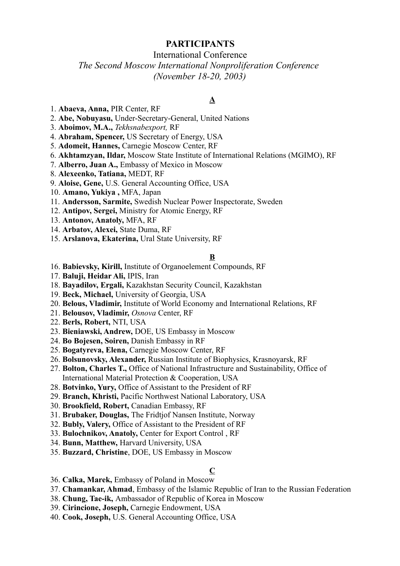# **PARTICIPANTS**

# International Conference

# *The Second Moscow International Nonproliferation Conference (November 18-20, 2003)*

## **A**

- 1. **Abaeva, Anna,** PIR Center, RF
- 2. **Abe, Nobuyasu,** Under-Secretary-General, United Nations
- 3. **Aboimov, M.A.,** *Tekhsnabexport,* RF
- 4. **Abraham, Spencer,** US Secretary of Energy, USA
- 5. **Adomeit, Hannes,** Carnegie Moscow Center, RF
- 6. **Akhtamzyan, Ildar,** Moscow State Institute of International Relations (MGIMO), RF
- 7. **Alberro, Juan A.,** Embassy of Mexico in Moscow
- 8. **Alexeenko, Tatiana,** MEDT, RF
- 9. **Aloise, Gene,** U.S. General Accounting Office, USA
- 10. **Amano, Yukiya ,** MFA, Japan
- 11. **Andersson, Sarmite,** Swedish Nuclear Power Inspectorate, Sweden
- 12. **Antipov, Sergei,** Ministry for Atomic Energy, RF
- 13. **Antonov, Anatoly,** MFA, RF
- 14. **Arbatov, Alexei,** State Duma, RF
- 15. **Arslanova, Ekaterina,** Ural State University, RF

## **B**

- 16. **Babievsky, Kirill,** Institute of Organoelement Compounds, RF
- 17. **Baluji, Heidar Ali,** IPIS, Iran
- 18. **Bayadilov, Ergali,** Kazakhstan Security Council, Kazakhstan
- 19. **Beck, Michael,** University of Georgia, USA
- 20. **Belous, Vladimir,** Institute of World Economy and International Relations, RF
- 21. **Belousov, Vladimir,** *Osnova* Center, RF
- 22. **Berls, Robert,** NTI, USA
- 23. **Bieniawski, Andrew,** DOE, US Embassy in Moscow
- 24. **Bo Bojesen, Soiren,** Danish Embassy in RF
- 25. **Bogatyreva, Elena,** Carnegie Moscow Center, RF
- 26. **Bolsunovsky, Alexander,** Russian Institute of Biophysics, Krasnoyarsk, RF
- 27. **Bolton, Charles T.,** Office of National Infrastructure and Sustainability, Office of International Material Protection & Cooperation, USA
- 28. **Botvinko, Yury,** Office of Assistant to the President of RF
- 29. **Branch, Khristi,** Pacific Northwest National Laboratory, USA
- 30. **Brookfield, Robert,** Canadian Embassy, RF
- 31. **Brubaker, Douglas,** The Fridtjof Nansen Institute, Norway
- 32. **Bubly, Valery,** Office of Assistant to the President of RF
- 33. **Bulochnikov, Anatoly,** Center for Export Control , RF
- 34. **Bunn, Matthew,** Harvard University, USA
- 35. **Buzzard, Christine**, DOE, US Embassy in Moscow

## **C**

- 36. **Calka, Marek,** Embassy of Poland in Moscow
- 37. **Chamankar, Ahmad**, Embassy of the Islamic Republic of Iran to the Russian Federation
- 38. **Chung, Tae-ik,** Ambassador of Republic of Korea in Moscow
- 39. **Cirincione, Joseph,** Carnegie Endowment, USA
- 40. **Cook, Joseph,** U.S. General Accounting Office, USA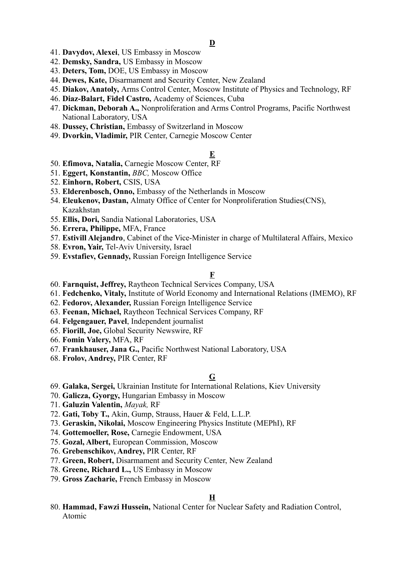- 41. **Davydov, Alexei**, US Embassy in Moscow
- 42. **Demsky, Sandra,** US Embassy in Moscow
- 43. **Deters, Tom,** DOE, US Embassy in Moscow
- 44. **Dewes, Kate,** Disarmament and Security Center, New Zealand
- 45. **Diakov, Anatoly,** Arms Control Center, Moscow Institute of Physics and Technology, RF
- 46. **Diaz-Balart, Fidel Castro,** Academy of Sciences, Cuba
- 47. **Dickman, Deborah A.,** Nonproliferation and Arms Control Programs, Pacific Northwest National Laboratory, USA
- 48. **Dussey, Christian,** Embassy of Switzerland in Moscow
- 49. **Dvorkin, Vladimir,** PIR Center, Carnegie Moscow Center

## **E**

- 50. **Efimova, Natalia,** Carnegie Moscow Center, RF
- 51. **Eggert, Konstantin,** *BBC,* Moscow Office
- 52. **Einhorn, Robert,** CSIS, USA
- 53. **Elderenbosch, Onno,** Embassy of the Netherlands in Moscow
- 54. **Eleukenov, Dastan,** Almaty Office of Center for Nonproliferation Studies(CNS), Kazakhstan
- 55. **Ellis, Dori,** Sandia National Laboratories, USA
- 56. **Errera, Philippe,** MFA, France
- 57. **Estivill Alejandro**, Cabinet of the Vice-Minister in charge of Multilateral Affairs, Mexico
- 58. **Evron, Yair,** Tel-Aviv University, Israel
- 59. **Evstafiev, Gennady,** Russian Foreign Intelligence Service

## **F**

- 60. **Farnquist, Jeffrey,** Raytheon Technical Services Company, USA
- 61. **Fedchenko, Vitaly,** Institute of World Economy and International Relations (IMEMO), RF
- 62. **Fedorov, Alexander,** Russian Foreign Intelligence Service
- 63. **Feenan, Michael,** Raytheon Technical Services Company, RF
- 64. **Felgengauer, Pavel**, Independent journalist
- 65. **Fiorill, Joe,** Global Security Newswire, RF
- 66. **Fomin Valery,** MFA, RF
- 67. **Frankhauser, Jana G.,** Pacific Northwest National Laboratory, USA
- 68. **Frolov, Andrey,** PIR Center, RF

## **G**

- 69. **Galaka, Sergei,** Ukrainian Institute for International Relations, Kiev University
- 70. **Galicza, Gyorgy,** Hungarian Embassy in Moscow
- 71. **Galuzin Valentin,** *Mayak,* RF
- 72. **Gati, Toby T.,** Akin, Gump, Strauss, Hauer & Feld, L.L.P.
- 73. **Geraskin, Nikolai,** Moscow Engineering Physics Institute (MEPhI), RF
- 74. **Gottemoeller, Rose,** Carnegie Endowment, USA
- 75. **Gozal, Albert,** European Commission, Moscow
- 76. **Grebenschikov, Andrey,** PIR Center, RF
- 77. **Green, Robert,** Disarmament and Security Center, New Zealand
- 78. **Greene, Richard L.,** US Embassy in Moscow
- 79. **Gross Zacharie,** French Embassy in Moscow

## **H**

80. **Hammad, Fawzi Hussein,** National Center for Nuclear Safety and Radiation Control, Atomic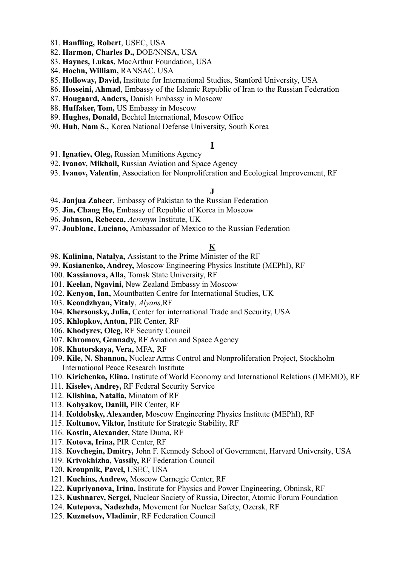- 81. **Hanfling, Robert**, USEC, USA
- 82. **Harmon, Charles D.,** DOE/NNSA, USA
- 83. **Haynes, Lukas,** MacArthur Foundation, USA
- 84. **Hoehn, William,** RANSAC, USA
- 85. **Holloway, David,** Institute for International Studies, Stanford University, USA
- 86. **Hosseini, Ahmad**, Embassy of the Islamic Republic of Iran to the Russian Federation
- 87. **Hougaard, Anders,** Danish Embassy in Moscow
- 88. **Huffaker, Tom,** US Embassy in Moscow
- 89. **Hughes, Donald,** Bechtel International, Moscow Office
- 90. **Huh, Nam S.,** Korea National Defense University, South Korea

### **I**

- 91. **Ignatiev, Oleg,** Russian Munitions Agency
- 92. **Ivanov, Mikhail,** Russian Aviation and Space Agency
- 93. **Ivanov, Valentin**, Association for Nonproliferation and Ecological Improvement, RF

#### **J**

- 94. **Janjua Zaheer**, Embassy of Pakistan to the Russian Federation
- 95. **Jin, Chang Ho,** Embassy of Republic of Korea in Moscow
- 96. **Johnson, Rebecca,** *Acronym* Institute, UK
- 97. **Joublanc, Luciano,** Ambassador of Mexico to the Russian Federation

## **K**

- 98. **Kalinina, Natalya,** Assistant to the Prime Minister of the RF
- 99. **Kasianenko, Andrey,** Moscow Engineering Physics Institute (MEPhI), RF
- 100. **Kassianova, Alla,** Tomsk State University, RF
- 101. **Keelan, Ngavini,** New Zealand Embassy in Moscow
- 102. **Kenyon, Ian,** Mountbatten Centre for International Studies, UK
- 103. **Keondzhyan, Vitaly**, *Alyans,*RF
- 104. **Khersonsky, Julia,** Center for international Trade and Security, USA
- 105. **Khlopkov, Anton,** PIR Center, RF
- 106. **Khodyrev, Oleg,** RF Security Council
- 107. **Khromov, Gennady,** RF Aviation and Space Agency
- 108. **Khutorskaya, Vera,** MFA, RF
- 109. **Kile, N. Shannon,** Nuclear Arms Control and Nonproliferation Project, Stockholm International Peace Research Institute
- 110. **Kirichenko, Elina,** Institute of World Economy and International Relations (IMEMO), RF
- 111. **Kiselev, Andrey,** RF Federal Security Service
- 112. **Klishina, Natalia,** Minatom of RF
- 113. **Kobyakov, Daniil,** PIR Center, RF
- 114. **Koldobsky, Alexander,** Moscow Engineering Physics Institute (MEPhI), RF
- 115. **Koltunov, Viktor,** Institute for Strategic Stability, RF
- 116. **Kostin, Alexander,** State Duma, RF
- 117. **Kotova, Irina,** PIR Center, RF
- 118. **Kovchegin, Dmitry,** John F. Kennedy School of Government, Harvard University, USA
- 119. **Krivokhizha, Vassily,** RF Federation Council
- 120. **Kroupnik, Pavel,** USEC, USA
- 121. **Kuchins, Andrew,** Moscow Carnegie Center, RF
- 122. **Kupriyanova, Irina,** Institute for Physics and Power Engineering, Obninsk, RF
- 123. **Kushnarev, Sergei,** Nuclear Society of Russia, Director, Atomic Forum Foundation
- 124. **Kutepova, Nadezhda,** Movement for Nuclear Safety, Ozersk, RF
- 125. **Kuznetsov, Vladimir**, RF Federation Council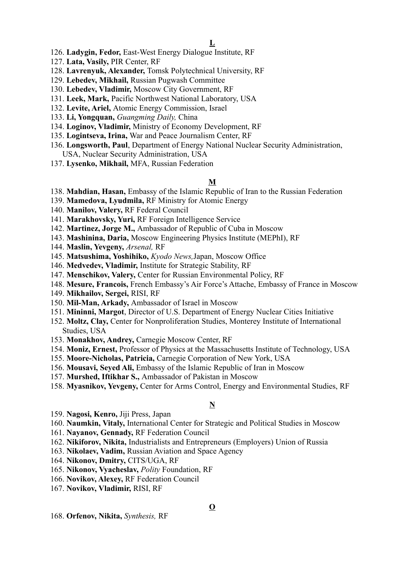- 126. **Ladygin, Fedor,** East-West Energy Dialogue Institute, RF
- 127. **Lata, Vasily,** PIR Center, RF
- 128. **Lavrenyuk, Alexander,** Tomsk Polytechnical University, RF
- 129. **Lebedev, Mikhail,** Russian Pugwash Committee
- 130. **Lebedev, Vladimir,** Moscow City Government, RF
- 131. **Leek, Mark,** Pacific Northwest National Laboratory, USA
- 132. **Levite, Ariel,** Atomic Energy Commission, Israel
- 133. **Li, Yongquan,** *Guangming Daily,* China
- 134. **Loginov, Vladimir,** Ministry of Economy Development, RF
- 135. **Logintseva, Irina,** War and Peace Journalism Center, RF
- 136. **Longsworth, Paul**, Department of Energy National Nuclear Security Administration, USA, Nuclear Security Administration, USA
- 137. **Lysenko, Mikhail,** MFA, Russian Federation

#### **M**

- 138. **Mahdian, Hasan,** Embassy of the Islamic Republic of Iran to the Russian Federation
- 139. **Mamedova, Lyudmila,** RF Ministry for Atomic Energy
- 140. **Manilov, Valery,** RF Federal Council
- 141. **Marakhovsky, Yuri,** RF Foreign Intelligence Service
- 142. **Martinez, Jorge M.,** Ambassador of Republic of Cuba in Moscow
- 143. **Mashinina, Daria,** Moscow Engineering Physics Institute (MEPhI), RF
- 144. **Maslin, Yevgeny,** *Arsenal,* RF
- 145. **Matsushima, Yoshihiko,** *Kyodo News,*Japan, Moscow Office
- 146. **Medvedev, Vladimir,** Institute for Strategic Stability, RF
- 147. **Menschikov, Valery,** Center for Russian Environmental Policy, RF
- 148. **Mesure, Francois,** French Embassy's Air Force's Attache, Embassy of France in Moscow
- 149. **Mikhailov, Sergei,** RISI, RF
- 150. **Mil-Man, Arkady,** Ambassador of Israel in Moscow
- 151. **Mininni, Margot**, Director of U.S. Department of Energy Nuclear Cities Initiative
- 152. **Moltz, Clay,** Center for Nonproliferation Studies, Monterey Institute of International Studies, USA
- 153. **Monakhov, Andrey,** Carnegie Moscow Center, RF
- 154. **Moniz, Ernest,** Professor of Physics at the Massachusetts Institute of Technology, USA
- 155. **Moore-Nicholas, Patricia,** Carnegie Corporation of New York, USA
- 156. **Mousavi, Seyed Ali,** Embassy of the Islamic Republic of Iran in Moscow
- 157. **Murshed, Iftikhar S.,** Ambassador of Pakistan in Moscow
- 158. **Myasnikov, Yevgeny,** Center for Arms Control, Energy and Environmental Studies, RF

## **N**

- 159. **Nagosi, Kenro,** Jiji Press, Japan
- 160. **Naumkin, Vitaly,** International Center for Strategic and Political Studies in Moscow
- 161. **Nayanov, Gennady,** RF Federation Council
- 162. **Nikiforov, Nikita,** Industrialists and Entrepreneurs (Employers) Union of Russia
- 163. **Nikolaev, Vadim,** Russian Aviation and Space Agency
- 164. **Nikonov, Dmitry,** CITS/UGA, RF
- 165. **Nikonov, Vyacheslav,** *Polity* Foundation, RF
- 166. **Novikov, Alexey,** RF Federation Council
- 167. **Novikov, Vladimir,** RISI, RF

168. **Orfenov, Nikita,** *Synthesis,* RF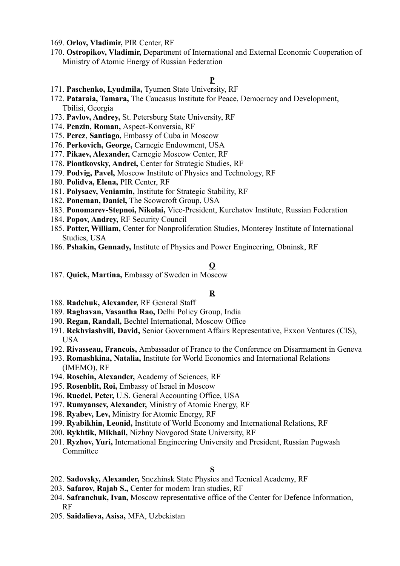- 169. **Orlov, Vladimir,** PIR Center, RF
- 170. **Ostropikov, Vladimir,** Department of International and External Economic Cooperation of Ministry of Atomic Energy of Russian Federation

## **P**

- 171. **Paschenko, Lyudmila,** Tyumen State University, RF
- 172. **Pataraia, Tamara,** The Caucasus Institute for Peace, Democracy and Development, Tbilisi, Georgia
- 173. **Pavlov, Andrey,** St. Petersburg State University, RF
- 174. **Penzin, Roman,** Aspect-Konversia, RF
- 175. **Perez**, **Santiago,** Embassy of Cuba in Moscow
- 176. **Perkovich, George,** Carnegie Endowment, USA
- 177. **Pikaev, Alexander,** Carnegie Moscow Center, RF
- 178. **Piontkovsky, Andrei,** Center for Strategic Studies, RF
- 179. **Podvig, Pavel,** Moscow Institute of Physics and Technology, RF
- 180. **Polidva, Elena,** PIR Center, RF
- 181. **Polysaev, Veniamin,** Institute for Strategic Stability, RF
- 182. **Poneman, Daniel,** The Scowcroft Group, USA
- 183. **Ponomarev-Stepnoi, Nikolai,** Vice-President, Kurchatov Institute, Russian Federation
- 184. **Popov, Andrey,** RF Security Council
- 185. **Potter, William,** Center for Nonproliferation Studies, Monterey Institute of International Studies, USA
- 186. **Pshakin, Gennady,** Institute of Physics and Power Engineering, Obninsk, RF

## **Q**

187. **Quick, Martina,** Embassy of Sweden in Moscow

## **R**

- 188. **Radchuk, Alexander,** RF General Staff
- 189. **Raghavan, Vasantha Rao,** Delhi Policy Group, India
- 190. **Regan, Randall,** Bechtel International, Moscow Office
- 191. **Rekhviashvili, David,** Senior Government Affairs Representative, Exxon Ventures (CIS), USA
- 192. **Rivasseau, Francois,** Ambassador of France to the Conference on Disarmament in Geneva
- 193. **Romashkina, Natalia,** Institute for World Economics and International Relations (IMEMO), RF
- 194. **Roschin, Alexander,** Academy of Sciences, RF
- 195. **Rosenblit, Roi,** Embassy of Israel in Moscow
- 196. **Ruedel, Peter,** U.S. General Accounting Office, USA
- 197. **Rumyansev, Alexander,** Ministry of Atomic Energy, RF
- 198. **Ryabev, Lev,** Ministry for Atomic Energy, RF
- 199. **Ryabikhin, Leonid,** Institute of World Economy and International Relations, RF
- 200. **Rykhtik, Mikhail,** Nizhny Novgorod State University, RF
- 201. **Ryzhov, Yuri,** International Engineering University and President, Russian Pugwash Committee

## **S**

- 202. **Sadovsky, Alexander,** Snezhinsk State Physics and Tecnical Academy, RF
- 203. **Safarov, Rajab S.,** Center for modern Iran studies, RF
- 204. **Safranchuk, Ivan,** Moscow representative office of the Center for Defence Information, RF
- 205. **Saidalieva, Asisa,** MFA, Uzbekistan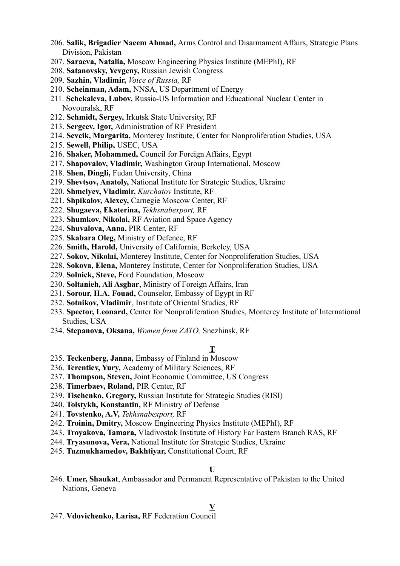- 206. **Salik, Brigadier Naeem Ahmad,** Arms Control and Disarmament Affairs, Strategic Plans Division, Pakistan
- 207. **Saraeva, Natalia,** Moscow Engineering Physics Institute (MEPhI), RF
- 208. **Satanovsky, Yevgeny,** Russian Jewish Congress
- 209. **Sazhin, Vladimir,** *Voice of Russia,* RF
- 210. **Scheinman, Adam,** NNSA, US Department of Energy
- 211. **Schekaleva, Lubov,** Russia-US Information and Educational Nuclear Center in Novouralsk, RF
- 212. **Schmidt, Sergey,** Irkutsk State University, RF
- 213. **Sergeev, Igor,** Administration of RF President
- 214. **Sevcik, Margarita,** Monterey Institute, Center for Nonproliferation Studies, USA
- 215. **Sewell, Philip,** USEC, USA
- 216. **Shaker, Mohammed,** Council for Foreign Affairs, Egypt
- 217. **Shapovalov, Vladimir,** Washington Group International, Moscow
- 218. **Shen, Dingli,** Fudan University, China
- 219. **Shevtsov, Anatoly,** National Institute for Strategic Studies, Ukraine
- 220. **Shmelyev, Vladimir,** *Kurchatov* Institute, RF
- 221. **Shpikalov, Alexey,** Carnegie Moscow Center, RF
- 222. **Shugaeva, Ekaterina,** *Tekhsnabexport,* RF
- 223. **Shumkov, Nikolai,** RF Aviation and Space Agency
- 224. **Shuvalova, Anna,** PIR Center, RF
- 225. **Skabara Oleg,** Ministry of Defence, RF
- 226. **Smith, Harold,** University of California, Berkeley, USA
- 227. **Sokov, Nikolai,** Monterey Institute, Center for Nonproliferation Studies, USA
- 228. **Sokova, Elena,** Monterey Institute, Center for Nonproliferation Studies, USA
- 229. **Solnick, Steve,** Ford Foundation, Moscow
- 230. **Soltanieh, Ali Asghar**, Ministry of Foreign Affairs, Iran
- 231. **Sorour, H.A. Fouad,** Counselor, Embassy of Egypt in RF
- 232. **Sotnikov, Vladimir**, Institute of Oriental Studies, RF
- 233. **Spector, Leonard,** Center for Nonproliferation Studies, Monterey Institute of International Studies, USA
- 234. **Stepanova, Oksana,** *Women from ZATO,* Snezhinsk, RF

## **T**

- 235. **Teckenberg, Janna,** Embassy of Finland in Moscow
- 236. **Terentiev, Yury,** Academy of Military Sciences, RF
- 237. **Thompson, Steven,** Joint Economic Committee, US Congress
- 238. **Timerbaev, Roland,** PIR Center, RF
- 239. **Tischenko, Gregory,** Russian Institute for Strategic Studies (RISI)
- 240. **Tolstykh, Konstantin,** RF Ministry of Defense
- 241. **Tovstenko, A.V,** *Tekhsnabexport,* RF
- 242. **Troinin, Dmitry,** Moscow Engineering Physics Institute (MEPhI), RF
- 243. **Troyakova, Tamara,** Vladivostok Institute of History Far Eastern Branch RAS, RF
- 244. **Tryasunova, Vera,** National Institute for Strategic Studies, Ukraine
- 245. **Tuzmukhamedov, Bakhtiyar,** Constitutional Court, RF

#### **U**

246. **Umer, Shaukat**, Ambassador and Permanent Representative of Pakistan to the United Nations, Geneva

## **V**

247. **Vdovichenko, Larisa,** RF Federation Council